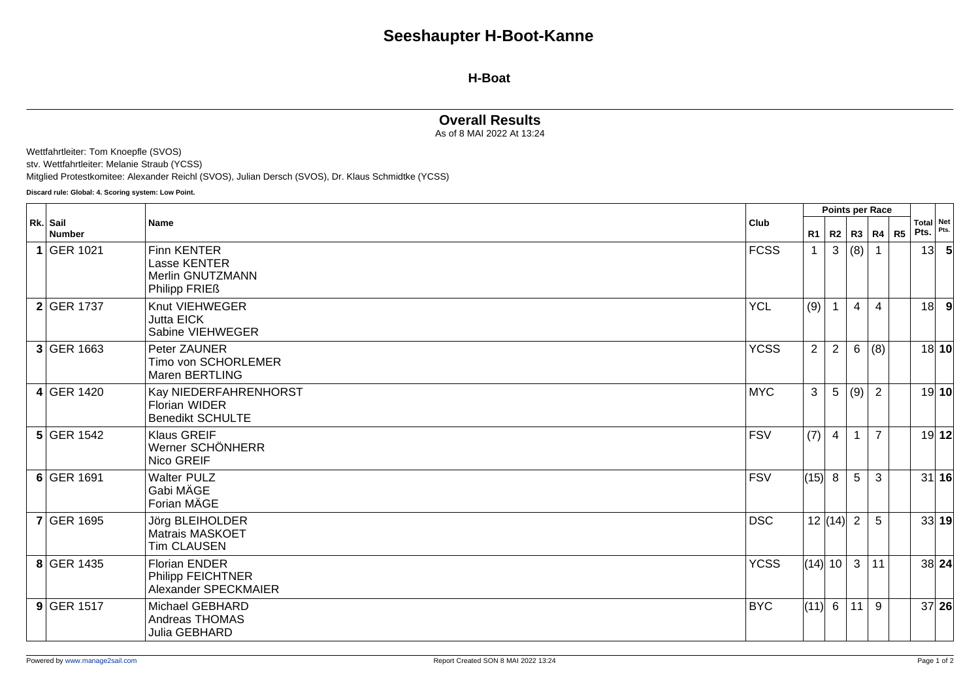#### **H-Boat**

## **Overall Results**

As of 8 MAI 2022 At 13:24

Wettfahrtleiter: Tom Knoepfle (SVOS)

stv. Wettfahrtleiter: Melanie Straub (YCSS)

Mitglied Protestkomitee: Alexander Reichl (SVOS), Julian Dersch (SVOS), Dr. Klaus Schmidtke (YCSS)

**Discard rule: Global: 4. Scoring system: Low Point.**

|                           | Name                                                                         |             | Points per Race |                |                 |                        |  |                   |       |
|---------------------------|------------------------------------------------------------------------------|-------------|-----------------|----------------|-----------------|------------------------|--|-------------------|-------|
| Rk. Sail<br><b>Number</b> |                                                                              | <b>Club</b> |                 |                |                 | R1   R2   R3   R4   R5 |  | Total Net<br>Pts. | Pts.  |
| 1 GER 1021                | Finn KENTER<br>Lasse KENTER<br>Merlin GNUTZMANN<br>Philipp FRIE <sub>ß</sub> | <b>FCSS</b> | $\mathbf{1}$    | $\mathbf{3}$   | (8)             |                        |  | 13                | -5    |
| <b>2</b> GER 1737         | Knut VIEHWEGER<br>Jutta EICK<br>Sabine VIEHWEGER                             | <b>YCL</b>  | (9)             | $\overline{1}$ | $\overline{4}$  | $\overline{4}$         |  | 18                | -9    |
| 3 GER 1663                | Peter ZAUNER<br>Timo von SCHORLEMER<br>Maren BERTLING                        | <b>YCSS</b> | $\overline{2}$  | 2              | $6\overline{6}$ | (8)                    |  |                   | 18 10 |
| 4 GER 1420                | Kay NIEDERFAHRENHORST<br><b>Florian WIDER</b><br><b>Benedikt SCHULTE</b>     | <b>MYC</b>  | $\mathbf{3}$    | 5              | (9)             | $\overline{2}$         |  |                   | 19 10 |
| $5$ GER 1542              | <b>Klaus GREIF</b><br>Werner SCHÖNHERR<br>Nico GREIF                         | <b>FSV</b>  | (7)             | $\overline{4}$ |                 | $\overline{7}$         |  |                   | 19 12 |
| $6$ GER 1691              | <b>Walter PULZ</b><br>Gabi MÄGE<br>Forian MÄGE                               | <b>FSV</b>  | (15) 8          |                | 5               | 3                      |  |                   | 31 16 |
| <b>7 GER 1695</b>         | Jörg BLEIHOLDER<br><b>Matrais MASKOET</b><br><b>Tim CLAUSEN</b>              | <b>DSC</b>  |                 | 12   (14)      | $\overline{2}$  | 5                      |  |                   | 33 19 |
| 8 GER 1435                | <b>Florian ENDER</b><br><b>Philipp FEICHTNER</b><br>Alexander SPECKMAIER     | <b>YCSS</b> | (14) 10         |                | $\mathbf{3}$    | 11                     |  |                   | 38 24 |
| $9$ GER 1517              | Michael GEBHARD<br>Andreas THOMAS<br>Julia GEBHARD                           | <b>BYC</b>  | (11)            | 6              | 11              | 9                      |  |                   | 37 26 |